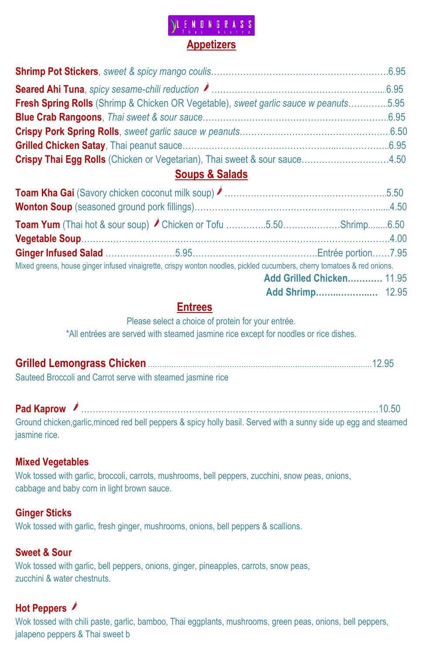# **ONGRASS Appetizers**

| Fresh Spring Rolls (Shrimp & Chicken OR Vegetable), sweet garlic sauce w peanuts5.95 |  |
|--------------------------------------------------------------------------------------|--|
|                                                                                      |  |
|                                                                                      |  |
|                                                                                      |  |
| Crispy Thai Egg Rolls (Chicken or Vegetarian), Thai sweet & sour sauce4.50           |  |

### **Soups & Salads**

| Mixed greens, house ginger infused vinaigrette, crispy wonton noodles, pickled cucumbers, cherry tomatoes & red onions. |  |  |                           |  |
|-------------------------------------------------------------------------------------------------------------------------|--|--|---------------------------|--|
|                                                                                                                         |  |  | Add Grilled Chicken 11.95 |  |
|                                                                                                                         |  |  |                           |  |

### **Entrees**

Please select a choice of protein for your entrée.

\*All entrées are served with steamed jasmine rice except for noodles or rice dishes.

| Sauteed Broccoli and Carrot serve with steamed jasmine rice |  |
|-------------------------------------------------------------|--|

**Pad Kaprow ♪** …………………………………………………………………………………………10.50

Ground chicken,garlic,minced red bell peppers & spicy holly basil. Served with a sunny side up egg and steamed jasmine rice.

### **Mixed Vegetables**

Wok tossed with garlic, broccoli, carrots, mushrooms, bell peppers, zucchini, snow peas, onions, cabbage and baby corn in light brown sauce.

### **Ginger Sticks**

Wok tossed with garlic, fresh ginger, mushrooms, onions, bell peppers & scallions.

### **Sweet & Sour**

Wok tossed with garlic, bell peppers, onions, ginger, pineapples, carrots, snow peas, zucchini & water chestnuts.

## **Hot Peppers**

Wok tossed with chili paste, garlic, bamboo, Thai eggplants, mushrooms, green peas, onions, bell peppers, jalapeno peppers & Thai sweet b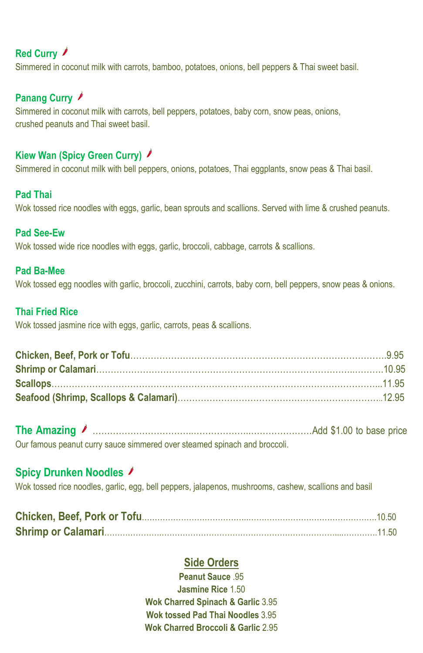# **Red Curry**

Simmered in coconut milk with carrots, bamboo, potatoes, onions, bell peppers & Thai sweet basil.

### **Panang Curry**

Simmered in coconut milk with carrots, bell peppers, potatoes, baby corn, snow peas, onions, crushed peanuts and Thai sweet basil.

### **Kiew Wan (Spicy Green Curry)**

Simmered in coconut milk with bell peppers, onions, potatoes, Thai eggplants, snow peas & Thai basil.

#### **Pad Thai**

Wok tossed rice noodles with eggs, garlic, bean sprouts and scallions. Served with lime & crushed peanuts.

#### **Pad See-Ew**

Wok tossed wide rice noodles with eggs, garlic, broccoli, cabbage, carrots & scallions.

#### **Pad Ba-Mee**

Wok tossed egg noodles with garlic, broccoli, zucchini, carrots, baby corn, bell peppers, snow peas & onions.

#### **Thai Fried Rice**

Wok tossed jasmine rice with eggs, garlic, carrots, peas & scallions.

**The Amazing** ……………………………..………………..…………………Add \$1.00 to base price Our famous peanut curry sauce simmered over steamed spinach and broccoli.

### **Spicy Drunken Noodles**

Wok tossed rice noodles, garlic, egg, bell peppers, jalapenos, mushrooms, cashew, scallions and basil

### **Side Orders**

**Peanut Sauce** .95 **Jasmine Rice** 1.50 **Wok Charred Spinach & Garlic** 3.95 **Wok tossed Pad Thai Noodles** 3.95 **Wok Charred Broccoli & Garlic** 2.95